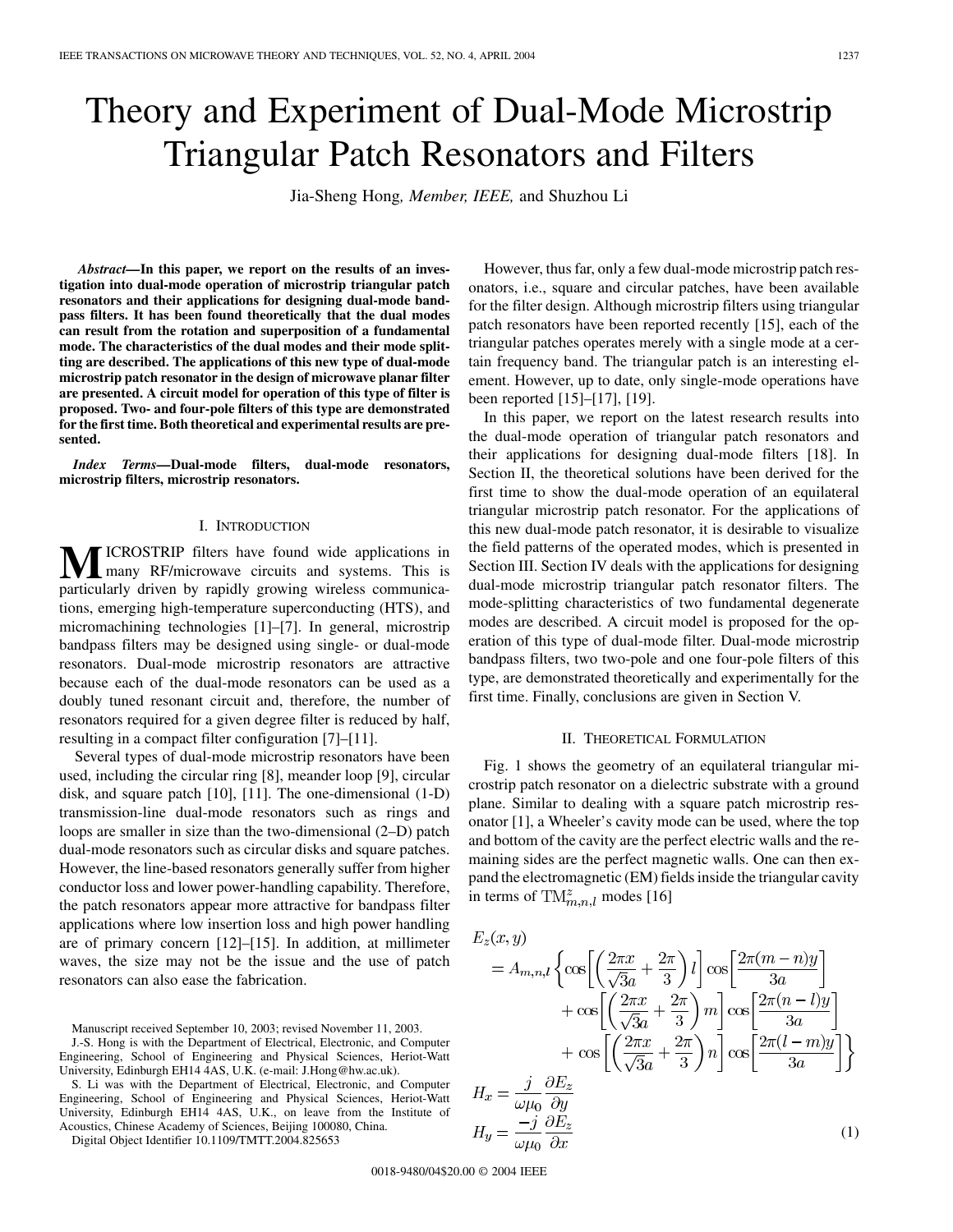# Theory and Experiment of Dual-Mode Microstrip Triangular Patch Resonators and Filters

Jia-Sheng Hong*, Member, IEEE,* and Shuzhou Li

*Abstract—***In this paper, we report on the results of an investigation into dual-mode operation of microstrip triangular patch resonators and their applications for designing dual-mode bandpass filters. It has been found theoretically that the dual modes can result from the rotation and superposition of a fundamental mode. The characteristics of the dual modes and their mode splitting are described. The applications of this new type of dual-mode microstrip patch resonator in the design of microwave planar filter are presented. A circuit model for operation of this type of filter is proposed. Two- and four-pole filters of this type are demonstrated for the first time. Both theoretical and experimental results are presented.**

*Index Terms—***Dual-mode filters, dual-mode resonators, microstrip filters, microstrip resonators.**

### I. INTRODUCTION

**M**ICROSTRIP filters have found wide applications in many RF/microwave circuits and systems. This is particularly driven by rapidly growing wireless communications, emerging high-temperature superconducting (HTS), and micromachining technologies [[1\]](#page-6-0)–[\[7](#page-6-0)]. In general, microstrip bandpass filters may be designed using single- or dual-mode resonators. Dual-mode microstrip resonators are attractive because each of the dual-mode resonators can be used as a doubly tuned resonant circuit and, therefore, the number of resonators required for a given degree filter is reduced by half, resulting in a compact filter configuration [\[7](#page-6-0)]–[\[11](#page-6-0)].

Several types of dual-mode microstrip resonators have been used, including the circular ring [\[8](#page-6-0)], meander loop [\[9](#page-6-0)], circular disk, and square patch [\[10](#page-6-0)], [[11\]](#page-6-0). The one-dimensional (1-D) transmission-line dual-mode resonators such as rings and loops are smaller in size than the two-dimensional (2–D) patch dual-mode resonators such as circular disks and square patches. However, the line-based resonators generally suffer from higher conductor loss and lower power-handling capability. Therefore, the patch resonators appear more attractive for bandpass filter applications where low insertion loss and high power handling are of primary concern [\[12](#page-6-0)]–[[15\]](#page-6-0). In addition, at millimeter waves, the size may not be the issue and the use of patch resonators can also ease the fabrication.

S. Li was with the Department of Electrical, Electronic, and Computer Engineering, School of Engineering and Physical Sciences, Heriot-Watt University, Edinburgh EH14 4AS, U.K., on leave from the Institute of Acoustics, Chinese Academy of Sciences, Beijing 100080, China.

Digital Object Identifier 10.1109/TMTT.2004.825653

However, thus far, only a few dual-mode microstrip patch resonators, i.e., square and circular patches, have been available for the filter design. Although microstrip filters using triangular patch resonators have been reported recently [\[15](#page-6-0)], each of the triangular patches operates merely with a single mode at a certain frequency band. The triangular patch is an interesting element. However, up to date, only single-mode operations have been reported [\[15](#page-6-0)]–[[17\]](#page-6-0), [[19\]](#page-6-0).

In this paper, we report on the latest research results into the dual-mode operation of triangular patch resonators and their applications for designing dual-mode filters [\[18](#page-6-0)]. In Section II, the theoretical solutions have been derived for the first time to show the dual-mode operation of an equilateral triangular microstrip patch resonator. For the applications of this new dual-mode patch resonator, it is desirable to visualize the field patterns of the operated modes, which is presented in Section III. Section IV deals with the applications for designing dual-mode microstrip triangular patch resonator filters. The mode-splitting characteristics of two fundamental degenerate modes are described. A circuit model is proposed for the operation of this type of dual-mode filter. Dual-mode microstrip bandpass filters, two two-pole and one four-pole filters of this type, are demonstrated theoretically and experimentally for the first time. Finally, conclusions are given in Section V.

## II. THEORETICAL FORMULATION

Fig. 1 shows the geometry of an equilateral triangular microstrip patch resonator on a dielectric substrate with a ground plane. Similar to dealing with a square patch microstrip resonator [\[1](#page-6-0)], a Wheeler's cavity mode can be used, where the top and bottom of the cavity are the perfect electric walls and the remaining sides are the perfect magnetic walls. One can then expand the electromagnetic (EM) fields inside the triangular cavity in terms of  $\text{TM}_{m,n,l}^z$  modes [[16\]](#page-6-0)

$$
E_z(x, y)
$$
  
=  $A_{m,n,l}$  { $\cos\left[\left(\frac{2\pi x}{\sqrt{3}a} + \frac{2\pi}{3}\right)l\right] \cos\left[\frac{2\pi (m-n)y}{3a}\right]$   
+  $\cos\left[\left(\frac{2\pi x}{\sqrt{3}a} + \frac{2\pi}{3}\right)m\right] \cos\left[\frac{2\pi (n-l)y}{3a}\right]$   
+  $\cos\left[\left(\frac{2\pi x}{\sqrt{3}a} + \frac{2\pi}{3}\right)n\right] \cos\left[\frac{2\pi (l-n)y}{3a}\right]$ }  

$$
H_x = \frac{j}{\omega \mu_0} \frac{\partial E_z}{\partial y}
$$
  

$$
H_y = \frac{-j}{\omega \mu_0} \frac{\partial E_z}{\partial x}
$$
 (1)

Manuscript received September 10, 2003; revised November 11, 2003.

J.-S. Hong is with the Department of Electrical, Electronic, and Computer Engineering, School of Engineering and Physical Sciences, Heriot-Watt University, Edinburgh EH14 4AS, U.K. (e-mail: J.Hong@hw.ac.uk).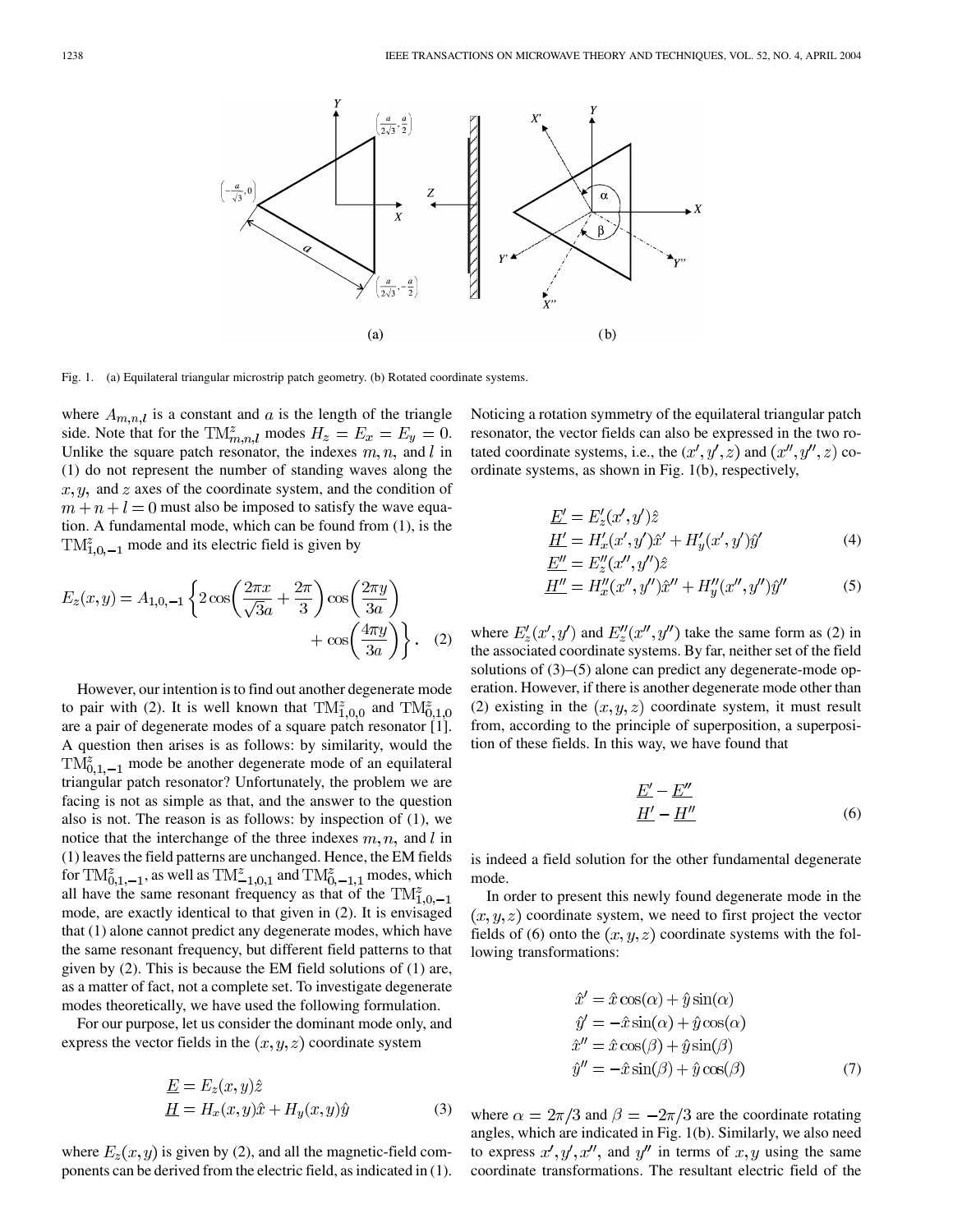

Fig. 1. (a) Equilateral triangular microstrip patch geometry. (b) Rotated coordinate systems.

where  $A_{m,n,l}$  is a constant and a is the length of the triangle side. Note that for the  $\text{TM}_{m,n,l}^z$  modes  $H_z = E_x = E_y = 0$ . Unlike the square patch resonator, the indexes  $m, n$ , and  $l$  in (1) do not represent the number of standing waves along the  $x, y$ , and z axes of the coordinate system, and the condition of  $m+n+l=0$  must also be imposed to satisfy the wave equation. A fundamental mode, which can be found from (1), is the  $TM_{1,0,-1}^z$  mode and its electric field is given by

$$
E_z(x,y) = A_{1,0,-1} \left\{ 2 \cos \left( \frac{2\pi x}{\sqrt{3}a} + \frac{2\pi}{3} \right) \cos \left( \frac{2\pi y}{3a} \right) + \cos \left( \frac{4\pi y}{3a} \right) \right\}.
$$
 (2)

However, our intention is to find out another degenerate mode to pair with (2). It is well known that  $TM_{1,0,0}^z$  and  $TM_{0,1,0}^z$ are a pair of degenerate modes of a square patch resonator [[1\]](#page-6-0). A question then arises is as follows: by similarity, would the  $TM_{0,1,-1}^z$  mode be another degenerate mode of an equilateral triangular patch resonator? Unfortunately, the problem we are facing is not as simple as that, and the answer to the question also is not. The reason is as follows: by inspection of (1), we notice that the interchange of the three indexes  $m, n$ , and  $l$  in (1) leaves the field patterns are unchanged. Hence, the EM fields for  $\text{TM}_{0,1,-1}^z$ , as well as  $\text{TM}_{-1,0,1}^z$  and  $\text{TM}_{0,-1,1}^z$  modes, which all have the same resonant frequency as that of the  $TM_{1,0,-1}^z$ mode, are exactly identical to that given in (2). It is envisaged that (1) alone cannot predict any degenerate modes, which have the same resonant frequency, but different field patterns to that given by (2). This is because the EM field solutions of (1) are, as a matter of fact, not a complete set. To investigate degenerate modes theoretically, we have used the following formulation.

For our purpose, let us consider the dominant mode only, and express the vector fields in the  $(x, y, z)$  coordinate system

$$
\underline{E} = E_z(x, y)\hat{z}
$$
  

$$
\underline{H} = H_x(x, y)\hat{x} + H_y(x, y)\hat{y}
$$
 (3)

where  $E_z(x, y)$  is given by (2), and all the magnetic-field components can be derived from the electric field, as indicated in (1). Noticing a rotation symmetry of the equilateral triangular patch resonator, the vector fields can also be expressed in the two rotated coordinate systems, i.e., the  $(x', y', z)$  and  $(x'', y'', z)$  coordinate systems, as shown in Fig. 1(b), respectively,

$$
\underline{E'} = E'_z(x', y')\hat{z}
$$
  
\n
$$
\underline{H'} = H'_x(x', y')\hat{x}' + H'_y(x', y')\hat{y}'
$$
  
\n
$$
F'' - F''(x'', y'')\hat{z}
$$
\n(4)

$$
\underline{H''} = E_z(x^{\prime}, y^{\prime})z^{\prime\prime} \n\underline{H''} = H''_x(x^{\prime\prime}, y^{\prime\prime})\hat{x}^{\prime\prime} + H''_y(x^{\prime\prime}, y^{\prime\prime})\hat{y}^{\prime\prime}
$$
\n(5)

where  $E'_z(x', y')$  and  $E''_z(x'', y'')$  take the same form as (2) in the associated coordinate systems. By far, neither set of the field solutions of (3)–(5) alone can predict any degenerate-mode operation. However, if there is another degenerate mode other than (2) existing in the  $(x, y, z)$  coordinate system, it must result from, according to the principle of superposition, a superposition of these fields. In this way, we have found that

$$
\frac{E'}{H'} - \frac{E''}{H''}
$$
\n<sup>(6)</sup>

is indeed a field solution for the other fundamental degenerate mode.

In order to present this newly found degenerate mode in the  $(x, y, z)$  coordinate system, we need to first project the vector fields of (6) onto the  $(x, y, z)$  coordinate systems with the following transformations:

$$
\hat{x}' = \hat{x}\cos(\alpha) + \hat{y}\sin(\alpha) \n\hat{y}' = -\hat{x}\sin(\alpha) + \hat{y}\cos(\alpha) \n\hat{x}'' = \hat{x}\cos(\beta) + \hat{y}\sin(\beta) \n\hat{y}'' = -\hat{x}\sin(\beta) + \hat{y}\cos(\beta)
$$
\n(7)

where  $\alpha = 2\pi/3$  and  $\beta = -2\pi/3$  are the coordinate rotating angles, which are indicated in Fig. 1(b). Similarly, we also need to express  $x', y', x''$ , and  $y''$  in terms of x, y using the same coordinate transformations. The resultant electric field of the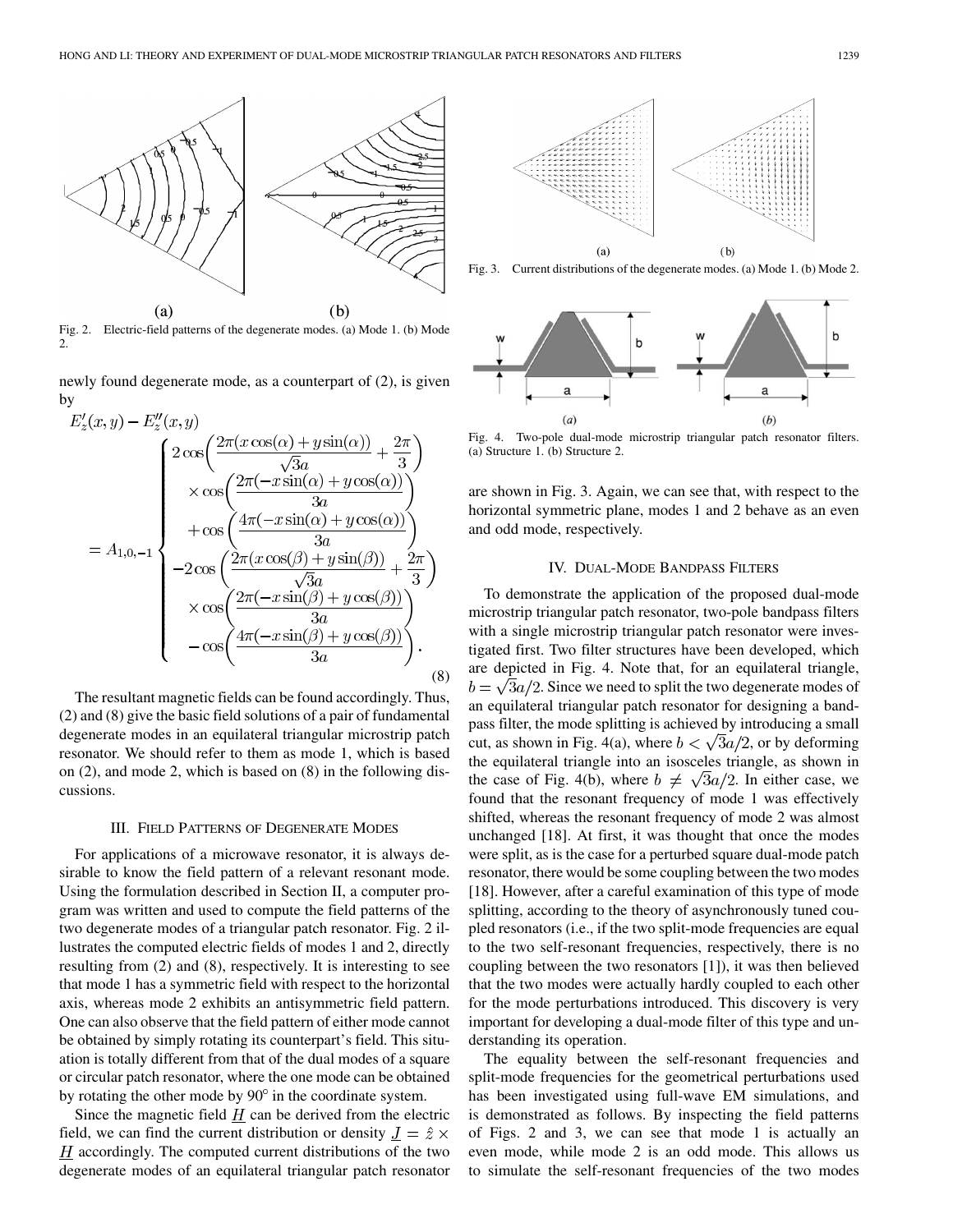

Fig. 2. Electric-field patterns of the degenerate modes. (a) Mode 1. (b) Mode 2.

newly found degenerate mode, as a counterpart of (2), is given by

$$
E'_{z}(x,y) - E''_{z}(x,y)
$$
  
\n
$$
= A_{1,0,-1} \begin{cases} 2 \cos\left(\frac{2\pi(x \cos(\alpha) + y \sin(\alpha))}{\sqrt{3}a} + \frac{2\pi}{3}\right) \\ \times \cos\left(\frac{2\pi(-x \sin(\alpha) + y \cos(\alpha))}{3a}\right) \\ + \cos\left(\frac{4\pi(-x \sin(\alpha) + y \cos(\alpha))}{3a}\right) \\ -2 \cos\left(\frac{2\pi(x \cos(\beta) + y \sin(\beta))}{\sqrt{3}a} + \frac{2\pi}{3}\right) \\ \times \cos\left(\frac{2\pi(-x \sin(\beta) + y \cos(\beta))}{3a}\right) \\ -\cos\left(\frac{4\pi(-x \sin(\beta) + y \cos(\beta))}{3a}\right). \end{cases}
$$
(8)

The resultant magnetic fields can be found accordingly. Thus, (2) and (8) give the basic field solutions of a pair of fundamental degenerate modes in an equilateral triangular microstrip patch resonator. We should refer to them as mode 1, which is based on (2), and mode 2, which is based on (8) in the following discussions.

#### III. FIELD PATTERNS OF DEGENERATE MODES

For applications of a microwave resonator, it is always desirable to know the field pattern of a relevant resonant mode. Using the formulation described in Section II, a computer program was written and used to compute the field patterns of the two degenerate modes of a triangular patch resonator. Fig. 2 illustrates the computed electric fields of modes 1 and 2, directly resulting from (2) and (8), respectively. It is interesting to see that mode 1 has a symmetric field with respect to the horizontal axis, whereas mode 2 exhibits an antisymmetric field pattern. One can also observe that the field pattern of either mode cannot be obtained by simply rotating its counterpart's field. This situation is totally different from that of the dual modes of a square or circular patch resonator, where the one mode can be obtained by rotating the other mode by  $90^\circ$  in the coordinate system.

Since the magnetic field  $\underline{H}$  can be derived from the electric field, we can find the current distribution or density  $J = \hat{z} \times \hat{z}$  $H$  accordingly. The computed current distributions of the two degenerate modes of an equilateral triangular patch resonator



Fig. 3. Current distributions of the degenerate modes. (a) Mode 1. (b) Mode 2.



Fig. 4. Two-pole dual-mode microstrip triangular patch resonator filters. (a) Structure 1. (b) Structure 2.

are shown in Fig. 3. Again, we can see that, with respect to the horizontal symmetric plane, modes 1 and 2 behave as an even and odd mode, respectively.

# IV. DUAL-MODE BANDPASS FILTERS

To demonstrate the application of the proposed dual-mode microstrip triangular patch resonator, two-pole bandpass filters with a single microstrip triangular patch resonator were investigated first. Two filter structures have been developed, which are depicted in Fig. 4. Note that, for an equilateral triangle,  $b = \sqrt{3}a/2$ . Since we need to split the two degenerate modes of an equilateral triangular patch resonator for designing a bandpass filter, the mode splitting is achieved by introducing a small cut, as shown in Fig. 4(a), where  $b < \sqrt{3a/2}$ , or by deforming the equilateral triangle into an isosceles triangle, as shown in the case of Fig. 4(b), where  $b \neq \sqrt{3a/2}$ . In either case, we found that the resonant frequency of mode 1 was effectively shifted, whereas the resonant frequency of mode 2 was almost unchanged [\[18](#page-6-0)]. At first, it was thought that once the modes were split, as is the case for a perturbed square dual-mode patch resonator, there would be some coupling between the two modes [\[18](#page-6-0)]. However, after a careful examination of this type of mode splitting, according to the theory of asynchronously tuned coupled resonators (i.e., if the two split-mode frequencies are equal to the two self-resonant frequencies, respectively, there is no coupling between the two resonators [[1\]](#page-6-0)), it was then believed that the two modes were actually hardly coupled to each other for the mode perturbations introduced. This discovery is very important for developing a dual-mode filter of this type and understanding its operation.

The equality between the self-resonant frequencies and split-mode frequencies for the geometrical perturbations used has been investigated using full-wave EM simulations, and is demonstrated as follows. By inspecting the field patterns of Figs. 2 and 3, we can see that mode 1 is actually an even mode, while mode 2 is an odd mode. This allows us to simulate the self-resonant frequencies of the two modes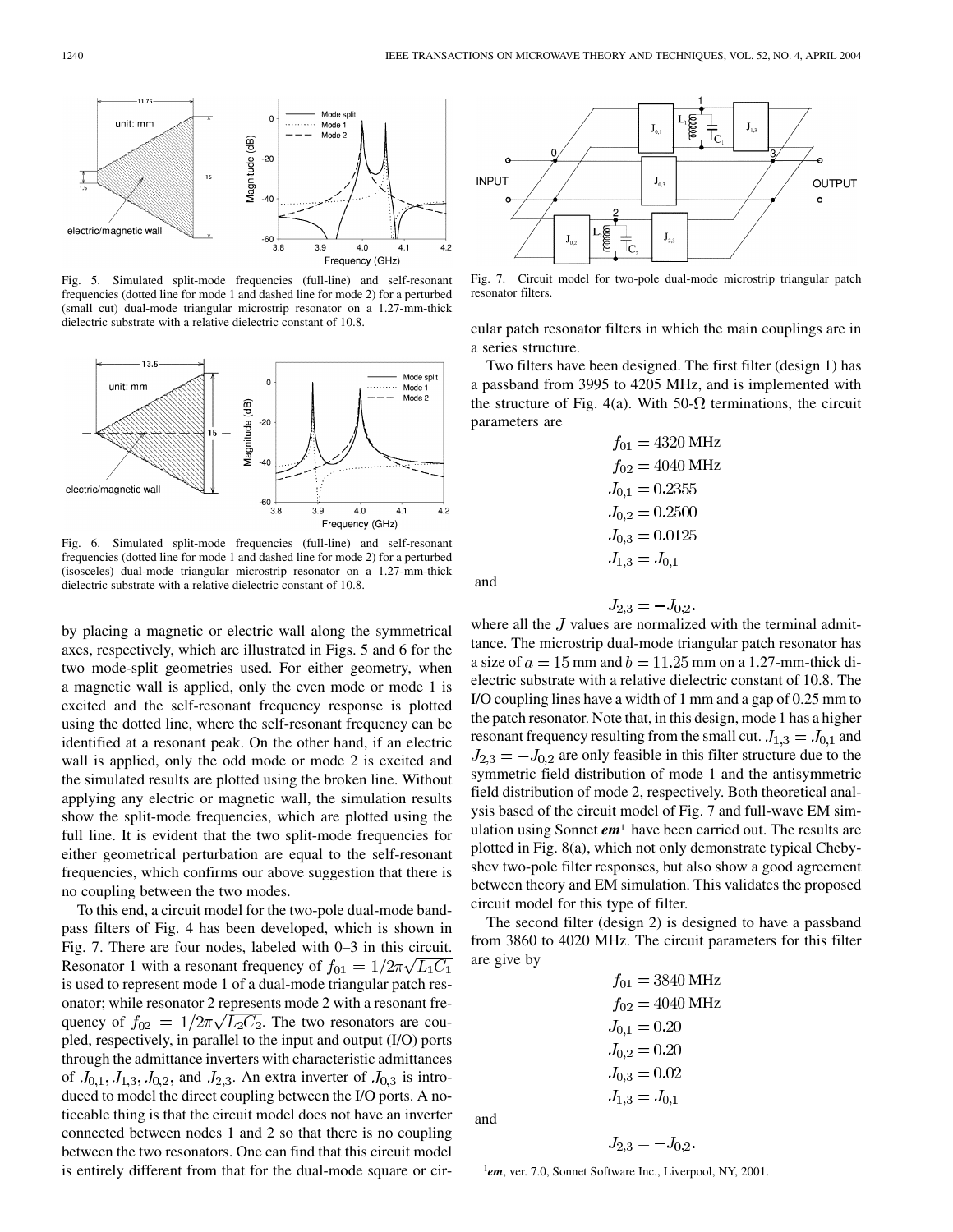

Fig. 5. Simulated split-mode frequencies (full-line) and self-resonant frequencies (dotted line for mode 1 and dashed line for mode 2) for a perturbed (small cut) dual-mode triangular microstrip resonator on a 1.27-mm-thick dielectric substrate with a relative dielectric constant of 10.8.



Fig. 6. Simulated split-mode frequencies (full-line) and self-resonant frequencies (dotted line for mode 1 and dashed line for mode 2) for a perturbed (isosceles) dual-mode triangular microstrip resonator on a 1.27-mm-thick dielectric substrate with a relative dielectric constant of 10.8.

by placing a magnetic or electric wall along the symmetrical axes, respectively, which are illustrated in Figs. 5 and 6 for the two mode-split geometries used. For either geometry, when a magnetic wall is applied, only the even mode or mode 1 is excited and the self-resonant frequency response is plotted using the dotted line, where the self-resonant frequency can be identified at a resonant peak. On the other hand, if an electric wall is applied, only the odd mode or mode 2 is excited and the simulated results are plotted using the broken line. Without applying any electric or magnetic wall, the simulation results show the split-mode frequencies, which are plotted using the full line. It is evident that the two split-mode frequencies for either geometrical perturbation are equal to the self-resonant frequencies, which confirms our above suggestion that there is no coupling between the two modes.

To this end, a circuit model for the two-pole dual-mode bandpass filters of Fig. 4 has been developed, which is shown in Fig. 7. There are four nodes, labeled with 0–3 in this circuit. Resonator 1 with a resonant frequency of  $f_{01} = 1/2\pi\sqrt{L_1C_1}$ is used to represent mode 1 of a dual-mode triangular patch resonator; while resonator 2 represents mode 2 with a resonant frequency of  $f_{02} = 1/2\pi \sqrt{L_2C_2}$ . The two resonators are coupled, respectively, in parallel to the input and output (I/O) ports through the admittance inverters with characteristic admittances of  $J_{0,1}, J_{1,3}, J_{0,2}$ , and  $J_{2,3}$ . An extra inverter of  $J_{0,3}$  is introduced to model the direct coupling between the I/O ports. A noticeable thing is that the circuit model does not have an inverter connected between nodes 1 and 2 so that there is no coupling between the two resonators. One can find that this circuit model is entirely different from that for the dual-mode square or cir-



Fig. 7. Circuit model for two-pole dual-mode microstrip triangular patch resonator filters.

cular patch resonator filters in which the main couplings are in a series structure.

Two filters have been designed. The first filter (design 1) has a passband from 3995 to 4205 MHz, and is implemented with the structure of Fig. 4(a). With 50- $\Omega$  terminations, the circuit parameters are

$$
f_{01} = 4320 \text{ MHz}
$$
  
\n
$$
f_{02} = 4040 \text{ MHz}
$$
  
\n
$$
J_{0,1} = 0.2355
$$
  
\n
$$
J_{0,2} = 0.2500
$$
  
\n
$$
J_{0,3} = 0.0125
$$
  
\n
$$
J_{1,3} = J_{0,1}
$$

and

$$
J_{2,3}=-J_{0,2}.
$$

where all the  $J$  values are normalized with the terminal admittance. The microstrip dual-mode triangular patch resonator has a size of  $a = 15$  mm and  $b = 11.25$  mm on a 1.27-mm-thick dielectric substrate with a relative dielectric constant of 10.8. The I/O coupling lines have a width of 1 mm and a gap of 0.25 mm to the patch resonator. Note that, in this design, mode 1 has a higher resonant frequency resulting from the small cut.  $J_{1,3} = J_{0,1}$  and  $J_{2,3} = -J_{0,2}$  are only feasible in this filter structure due to the symmetric field distribution of mode 1 and the antisymmetric field distribution of mode 2, respectively. Both theoretical analysis based of the circuit model of Fig. 7 and full-wave EM simulation using Sonnet *em*<sup>1</sup> have been carried out. The results are plotted in Fig. 8(a), which not only demonstrate typical Chebyshev two-pole filter responses, but also show a good agreement between theory and EM simulation. This validates the proposed circuit model for this type of filter.

The second filter (design 2) is designed to have a passband from 3860 to 4020 MHz. The circuit parameters for this filter are give by

$$
f_{01} = 3840 \text{ MHz}
$$
  
\n
$$
f_{02} = 4040 \text{ MHz}
$$
  
\n
$$
J_{0,1} = 0.20
$$
  
\n
$$
J_{0,2} = 0.20
$$
  
\n
$$
J_{0,3} = 0.02
$$
  
\n
$$
J_{1,3} = J_{0,1}
$$

and

$$
J_{2,3} = -J_{0,2}.
$$

<sup>1</sup>*em*, ver. 7.0, Sonnet Software Inc., Liverpool, NY, 2001.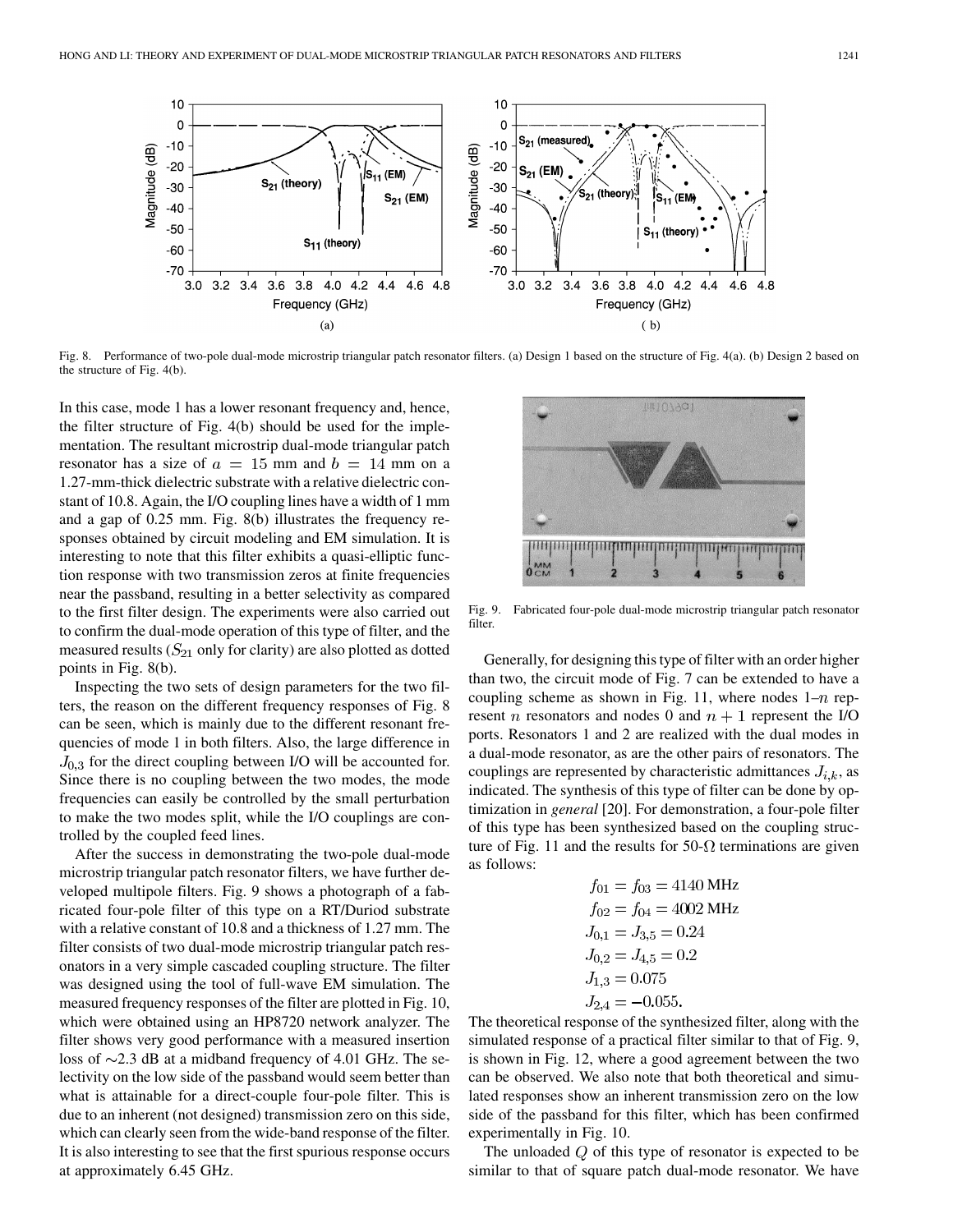

Fig. 8. Performance of two-pole dual-mode microstrip triangular patch resonator filters. (a) Design 1 based on the structure of Fig. 4(a). (b) Design 2 based on the structure of Fig. 4(b).

In this case, mode 1 has a lower resonant frequency and, hence, the filter structure of Fig. 4(b) should be used for the implementation. The resultant microstrip dual-mode triangular patch resonator has a size of  $a = 15$  mm and  $b = 14$  mm on a 1.27-mm-thick dielectric substrate with a relative dielectric constant of 10.8. Again, the I/O coupling lines have a width of 1 mm and a gap of 0.25 mm. Fig. 8(b) illustrates the frequency responses obtained by circuit modeling and EM simulation. It is interesting to note that this filter exhibits a quasi-elliptic function response with two transmission zeros at finite frequencies near the passband, resulting in a better selectivity as compared to the first filter design. The experiments were also carried out to confirm the dual-mode operation of this type of filter, and the measured results  $(S_{21}$  only for clarity) are also plotted as dotted points in Fig. 8(b).

Inspecting the two sets of design parameters for the two filters, the reason on the different frequency responses of Fig. 8 can be seen, which is mainly due to the different resonant frequencies of mode 1 in both filters. Also, the large difference in  $J_{0,3}$  for the direct coupling between I/O will be accounted for. Since there is no coupling between the two modes, the mode frequencies can easily be controlled by the small perturbation to make the two modes split, while the I/O couplings are controlled by the coupled feed lines.

After the success in demonstrating the two-pole dual-mode microstrip triangular patch resonator filters, we have further developed multipole filters. Fig. 9 shows a photograph of a fabricated four-pole filter of this type on a RT/Duriod substrate with a relative constant of 10.8 and a thickness of 1.27 mm. The filter consists of two dual-mode microstrip triangular patch resonators in a very simple cascaded coupling structure. The filter was designed using the tool of full-wave EM simulation. The measured frequency responses of the filter are plotted in Fig. 10, which were obtained using an HP8720 network analyzer. The filter shows very good performance with a measured insertion loss of  $\sim$ 2.3 dB at a midband frequency of 4.01 GHz. The selectivity on the low side of the passband would seem better than what is attainable for a direct-couple four-pole filter. This is due to an inherent (not designed) transmission zero on this side, which can clearly seen from the wide-band response of the filter. It is also interesting to see that the first spurious response occurs at approximately 6.45 GHz.



Fig. 9. Fabricated four-pole dual-mode microstrip triangular patch resonator filter.

Generally, for designing this type of filter with an order higher than two, the circuit mode of Fig. 7 can be extended to have a coupling scheme as shown in Fig. 11, where nodes  $1-n$  represent *n* resonators and nodes 0 and  $n + 1$  represent the I/O ports. Resonators 1 and 2 are realized with the dual modes in a dual-mode resonator, as are the other pairs of resonators. The couplings are represented by characteristic admittances  $J_{i,k}$ , as indicated. The synthesis of this type of filter can be done by optimization in *general* [\[20](#page-6-0)]. For demonstration, a four-pole filter of this type has been synthesized based on the coupling structure of Fig. 11 and the results for  $50-\Omega$  terminations are given as follows:

$$
f_{01} = f_{03} = 4140 \text{ MHz}
$$
  
\n
$$
f_{02} = f_{04} = 4002 \text{ MHz}
$$
  
\n
$$
J_{0,1} = J_{3,5} = 0.24
$$
  
\n
$$
J_{0,2} = J_{4,5} = 0.2
$$
  
\n
$$
J_{1,3} = 0.075
$$
  
\n
$$
J_{2,4} = -0.055
$$

The theoretical response of the synthesized filter, along with the simulated response of a practical filter similar to that of Fig. 9, is shown in Fig. 12, where a good agreement between the two can be observed. We also note that both theoretical and simulated responses show an inherent transmission zero on the low side of the passband for this filter, which has been confirmed experimentally in Fig. 10.

The unloaded  $Q$  of this type of resonator is expected to be similar to that of square patch dual-mode resonator. We have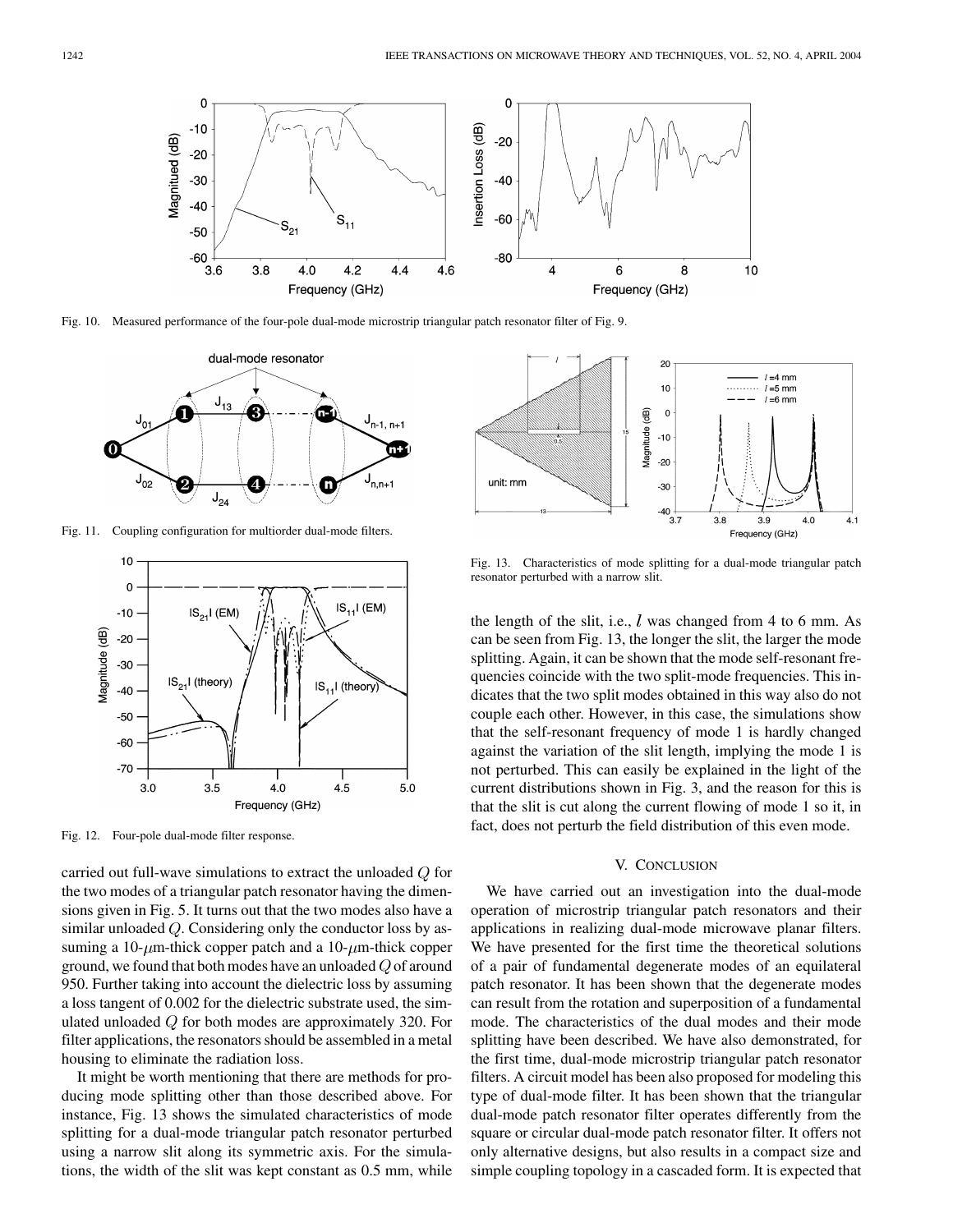

Fig. 10. Measured performance of the four-pole dual-mode microstrip triangular patch resonator filter of Fig. 9.



Fig. 11. Coupling configuration for multiorder dual-mode filters.



Fig. 12. Four-pole dual-mode filter response.

carried out full-wave simulations to extract the unloaded  $Q$  for the two modes of a triangular patch resonator having the dimensions given in Fig. 5. It turns out that the two modes also have a similar unloaded  $Q$ . Considering only the conductor loss by assuming a 10- $\mu$ m-thick copper patch and a 10- $\mu$ m-thick copper ground, we found that both modes have an unloaded  $Q$  of around 950. Further taking into account the dielectric loss by assuming a loss tangent of 0.002 for the dielectric substrate used, the simulated unloaded  $Q$  for both modes are approximately 320. For filter applications, the resonators should be assembled in a metal housing to eliminate the radiation loss.

It might be worth mentioning that there are methods for producing mode splitting other than those described above. For instance, Fig. 13 shows the simulated characteristics of mode splitting for a dual-mode triangular patch resonator perturbed using a narrow slit along its symmetric axis. For the simulations, the width of the slit was kept constant as 0.5 mm, while



Fig. 13. Characteristics of mode splitting for a dual-mode triangular patch resonator perturbed with a narrow slit.

the length of the slit, i.e.,  $l$  was changed from 4 to 6 mm. As can be seen from Fig. 13, the longer the slit, the larger the mode splitting. Again, it can be shown that the mode self-resonant frequencies coincide with the two split-mode frequencies. This indicates that the two split modes obtained in this way also do not couple each other. However, in this case, the simulations show that the self-resonant frequency of mode 1 is hardly changed against the variation of the slit length, implying the mode 1 is not perturbed. This can easily be explained in the light of the current distributions shown in Fig. 3, and the reason for this is that the slit is cut along the current flowing of mode 1 so it, in fact, does not perturb the field distribution of this even mode.

# V. CONCLUSION

We have carried out an investigation into the dual-mode operation of microstrip triangular patch resonators and their applications in realizing dual-mode microwave planar filters. We have presented for the first time the theoretical solutions of a pair of fundamental degenerate modes of an equilateral patch resonator. It has been shown that the degenerate modes can result from the rotation and superposition of a fundamental mode. The characteristics of the dual modes and their mode splitting have been described. We have also demonstrated, for the first time, dual-mode microstrip triangular patch resonator filters. A circuit model has been also proposed for modeling this type of dual-mode filter. It has been shown that the triangular dual-mode patch resonator filter operates differently from the square or circular dual-mode patch resonator filter. It offers not only alternative designs, but also results in a compact size and simple coupling topology in a cascaded form. It is expected that